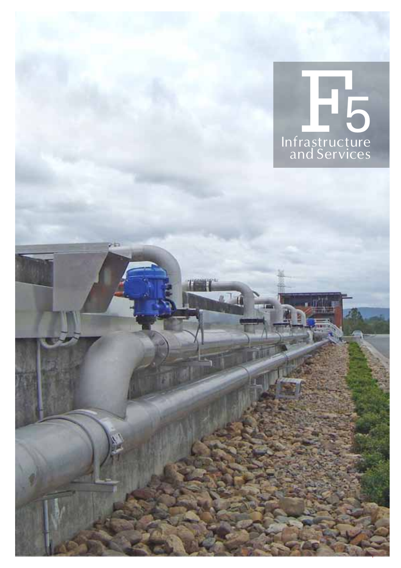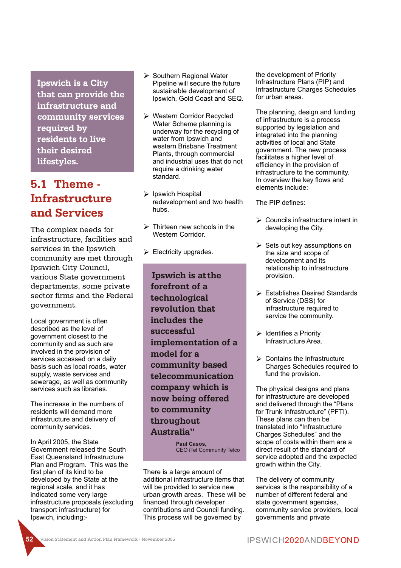**Ipswich is a City that can provide the infrastructure and community services required by residents to live their desired lifestyles.**

# **5.1 Theme - Infrastructure and Services**

The complex needs for infrastructure, facilities and services in the Ipswich community are met through Ipswich City Council, various State government departments, some private sector firms and the Federal government.

Local government is often described as the level of government closest to the community and as such are involved in the provision of services accessed on a daily basis such as local roads, water supply, waste services and sewerage, as well as community services such as libraries.

The increase in the numbers of residents will demand more infrastructure and delivery of community services.

In April 2005, the State Government released the South East Queensland Infrastructure Plan and Program. This was the first plan of its kind to be developed by the State at the regional scale, and it has indicated some very large infrastructure proposals (excluding transport infrastructure) for Ipswich, including:-

- $\triangleright$  Southern Regional Water Pipeline will secure the future sustainable development of Ipswich, Gold Coast and SEQ.
- Ø Western Corridor Recycled Water Scheme planning is underway for the recycling of water from Inswich and western Brisbane Treatment Plants, through commercial and industrial uses that do not require a drinking water standard.
- $\triangleright$  Ipswich Hospital redevelopment and two health hubs.
- $\triangleright$  Thirteen new schools in the Western Corridor.
- $\triangleright$  Electricity upgrades.

**Ipswich is atthe forefront of a technological revolution that includes the successful implementation of a model for a community based telecommunication company which is now being offered to community throughout Australia"**

> **Paul Casos,** CEO iTel Community Telco

There is a large amount of additional infrastructure items that will be provided to service new urban growth areas. These will be financed through developer contributions and Council funding. This process will be governed by

the development of Priority Infrastructure Plans (PIP) and Infrastructure Charges Schedules for urban areas.

The planning, design and funding of infrastructure is a process supported by legislation and integrated into the planning activities of local and State government. The new process facilitates a higher level of efficiency in the provision of infrastructure to the community. In overview the key flows and elements include:

The PIP defines:

- $\triangleright$  Councils infrastructure intent in developing the City.
- $\triangleright$  Sets out key assumptions on the size and scope of development and its relationship to infrastructure provision.
- $\triangleright$  Establishes Desired Standards of Service (DSS) for infrastructure required to service the community.
- $\triangleright$  Identifies a Priority Infrastructure Area.
- $\triangleright$  Contains the Infrastructure Charges Schedules required to fund the provision.

The physical designs and plans for infrastructure are developed and delivered through the "Plans for Trunk Infrastructure" (PFTI). These plans can then be translated into "Infrastructure Charges Schedules" and the scope of costs within them are a direct result of the standard of service adopted and the expected growth within the City.

The delivery of community services is the responsibility of a number of different federal and state government agencies. community service providers, local governments and private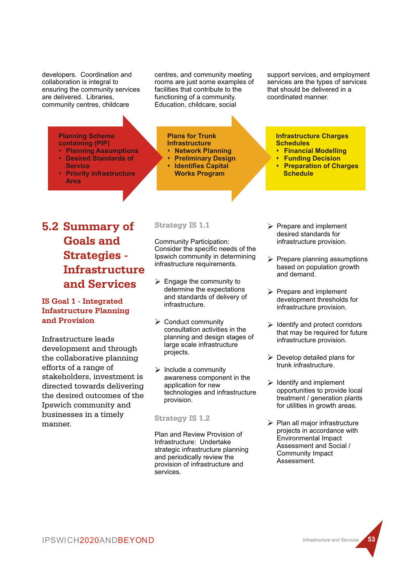developers. Coordination and collaboration is integral to ensuring the community services are delivered. Libraries, community centres, childcare

centres, and community meeting rooms are just some examples of facilities that contribute to the functioning of a community. Education, childcare, social

support services, and employment services are the types of services that should be delivered in a coordinated manner.

**Planning Scheme containing (PIP)**

- **\*** Planning Assumptions s **Desired Standards of Service**
- **Priority infrastructure Area**

#### **Plans for Trunk Infrastructure**

- **Network Planning**
- **Preliminary Design**
- **Identifies Capital Works Program**

**Infrastructure Charges Schedules**

- **Einancial Modelling**<br>**CELLINATION**<br>**CELLINATION**
- **Funding Decision**
- **Preparation of Charges Schedule**

**5.2 Summary of Goals and Strategies - Infrastructure and Services**

# **IS Goal 1 - Integrated Infastructure Planning and Provision**

Infrastructure leads development and through the collaborative planning efforts of a range of stakeholders, investment is directed towards delivering the desired outcomes of the Ipswich community and businesses in a timely manner.

**Strategy IS 1.1**

Community Participation: Consider the specific needs of the Ipswich community in determining infrastructure requirements.

- $\triangleright$  Engage the community to determine the expectations and standards of delivery of infrastructure.
- $\triangleright$  Conduct community consultation activities in the planning and design stages of large scale infrastructure projects.
- $\triangleright$  Include a community awareness component in the application for new technologies and infrastructure provision.

## **Strategy IS 1.2**

Plan and Review Provision of Infrastructure: Undertake strategic infrastructure planning and periodically review the provision of infrastructure and services.

- $\triangleright$  Prepare and implement desired standards for infrastructure provision.
- $\triangleright$  Prepare planning assumptions based on population growth and demand.
- $\triangleright$  Prepare and implement development thresholds for infrastructure provision.
- $\triangleright$  Identify and protect corridors that may be required for future infrastructure provision.
- $\triangleright$  Develop detailed plans for trunk infrastructure.
- $\triangleright$  Identify and implement opportunities to provide local treatment / generation plants for utilities in growth areas.
- $\triangleright$  Plan all major infrastructure projects in accordance with Environmental Impact Assessment and Social / Community Impact Assessment.

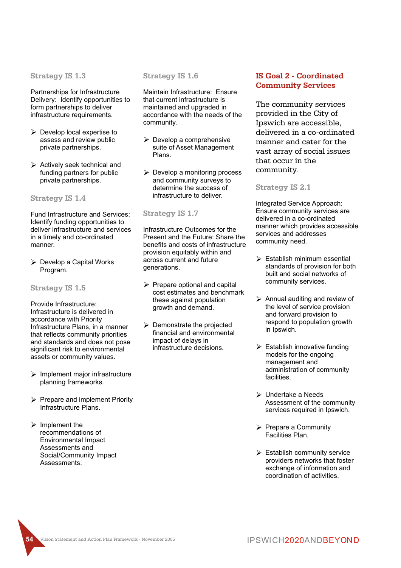**Strategy IS 1.3**

Partnerships for Infrastructure Delivery: Identify opportunities to form partnerships to deliver infrastructure requirements.

- $\triangleright$  Develop local expertise to assess and review public private partnerships.
- $\triangleright$  Actively seek technical and funding partners for public private partnerships.

**Strategy IS 1.4**

Fund Infrastructure and Services: Identify funding opportunities to deliver infrastructure and services in a timely and co-ordinated manner.

Ø Develop a Capital Works Program.

**Strategy IS 1.5**

Provide Infrastructure: Infrastructure is delivered in accordance with Priority Infrastructure Plans, in a manner that reflects community priorities and standards and does not pose significant risk to environmental assets or community values.

- $\triangleright$  Implement major infrastructure planning frameworks.
- $\triangleright$  Prepare and implement Priority Infrastructure Plans.
- $\triangleright$  Implement the recommendations of Environmental Impact Assessments and Social/Community Impact Assessments.

**Strategy IS 1.6**

Maintain Infrastructure: Ensure that current infrastructure is maintained and upgraded in accordance with the needs of the community.

- $\triangleright$  Develop a comprehensive suite of Asset Management Plans.
- $\triangleright$  Develop a monitoring process and community surveys to determine the success of infrastructure to deliver.

### **Strategy IS 1.7**

Infrastructure Outcomes for the Present and the Future: Share the benefits and costs of infrastructure provision equitably within and across current and future generations.

- $\triangleright$  Prepare optional and capital cost estimates and benchmark these against population growth and demand.
- $\triangleright$  Demonstrate the projected financial and environmental impact of delays in infrastructure decisions.

# **IS Goal 2 - Coordinated Community Services**

The community services provided in the City of Ipswich are accessible, delivered in a co-ordinated manner and cater for the vast array of social issues that occur in the community.

### **Strategy IS 2.1**

Integrated Service Approach: Ensure community services are delivered in a co-ordinated manner which provides accessible services and addresses community need.

- $\triangleright$  Establish minimum essential standards of provision for both built and social networks of community services.
- $\triangleright$  Annual auditing and review of the level of service provision and forward provision to respond to population growth in Ipswich.
- $\triangleright$  Establish innovative funding models for the ongoing management and administration of community facilities.
- $\triangleright$  Undertake a Needs Assessment of the community services required in Ipswich.
- Ø Prepare a Community Facilities Plan.
- $\triangleright$  Establish community service providers networks that foster exchange of information and coordination of activities.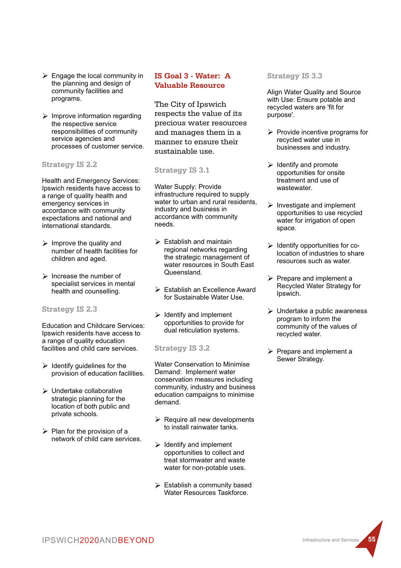- $\triangleright$  Engage the local community in the planning and design of community facilities and programs.
- $\triangleright$  Improve information regarding the respective service responsibilities of community service agencies and processes of customer service.

# **Strategy IS 2.2**

Health and Emergency Services: Ipswich residents have access to a range of quality health and emergency services in accordance with community expectations and national and international standards.

- $\triangleright$  Improve the quality and number of health facilities for children and aged.
- $\triangleright$  Increase the number of specialist services in mental health and counselling.

## **Strategy IS 2.3**

Education and Childcare Services: Ipswich residents have access to a range of quality education facilities and child care services.

- $\triangleright$  Identify guidelines for the provision of education facilities.
- $\triangleright$  Undertake collaborative strategic planning for the location of both public and private schools.
- $\triangleright$  Plan for the provision of a network of child care services.

# **IS Goal 3 - Water: A Valuable Resource**

The City of Ipswich respects the value of its precious water resources and manages them in a manner to ensure their sustainable use.

## **Strategy IS 3.1**

Water Supply: Provide infrastructure required to supply water to urban and rural residents, industry and business in accordance with community needs.

- $\triangleright$  Establish and maintain regional networks regarding the strategic management of water resources in South East Queensland.
- $\triangleright$  Establish an Excellence Award for Sustainable Water Use.
- $\triangleright$  Identify and implement opportunities to provide for dual reticulation systems.

## **Strategy IS 3.2**

Water Conservation to Minimise Demand: Implement water conservation measures including community, industry and business education campaigns to minimise demand.

- $\triangleright$  Require all new developments to install rainwater tanks.
- $\triangleright$  Identify and implement opportunities to collect and treat stormwater and waste water for non-potable uses.
- $\triangleright$  Establish a community based Water Resources Taskforce.

## **Strategy IS 3.3**

Align Water Quality and Source with Use: Ensure potable and recycled waters are 'fit for purpose'.

- $\triangleright$  Provide incentive programs for recycled water use in businesses and industry.
- $\triangleright$  Identify and promote opportunities for onsite treatment and use of wastewater.
- $\triangleright$  Investigate and implement opportunities to use recycled water for irrigation of open space.
- $\triangleright$  Identify opportunities for colocation of industries to share resources such as water.
- $\triangleright$  Prepare and implement a Recycled Water Strategy for Ipswich.
- $\triangleright$  Undertake a public awareness program to inform the community of the values of recycled water.
- $\triangleright$  Prepare and implement a Sewer Strategy.

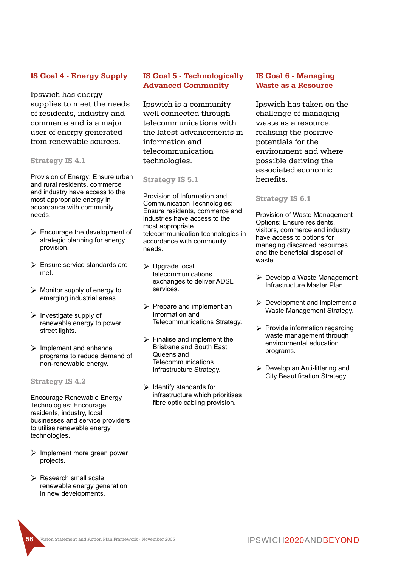# **IS Goal 4 - Energy Supply**

Ipswich has energy supplies to meet the needs of residents, industry and commerce and is a major user of energy generated from renewable sources.

## **Strategy IS 4.1**

Provision of Energy: Ensure urban and rural residents, commerce and industry have access to the most appropriate energy in accordance with community needs.

- $\triangleright$  Encourage the development of strategic planning for energy provision.
- $\triangleright$  Ensure service standards are met.
- $\triangleright$  Monitor supply of energy to emerging industrial areas.
- $\triangleright$  Investigate supply of renewable energy to power street lights.
- $\triangleright$  Implement and enhance programs to reduce demand of non-renewable energy.

**Strategy IS 4.2**

Encourage Renewable Energy Technologies: Encourage residents, industry, local businesses and service providers to utilise renewable energy technologies.

- $\triangleright$  Implement more green power projects.
- $\triangleright$  Research small scale renewable energy generation in new developments.

# **IS Goal 5 - Technologically Advanced Community**

Ipswich is a community well connected through telecommunications with the latest advancements in information and telecommunication technologies.

### **Strategy IS 5.1**

Provision of Information and Communication Technologies: Ensure residents, commerce and industries have access to the most appropriate telecommunication technologies in accordance with community needs.

- $\triangleright$  Upgrade local telecommunications exchanges to deliver ADSL services.
- $\triangleright$  Prepare and implement an Information and Telecommunications Strategy.
- $\triangleright$  Finalise and implement the Brisbane and South East **Queensland Telecommunications** Infrastructure Strategy.
- $\triangleright$  Identify standards for infrastructure which prioritises fibre optic cabling provision.

# **IS Goal 6 - Managing Waste as a Resource**

Ipswich has taken on the challenge of managing waste as a resource, realising the positive potentials for the environment and where possible deriving the associated economic benefits.

### **Strategy IS 6.1**

Provision of Waste Management Options: Ensure residents, visitors, commerce and industry have access to options for managing discarded resources and the beneficial disposal of waste.

- $\triangleright$  Develop a Waste Management Infrastructure Master Plan.
- $\triangleright$  Development and implement a Waste Management Strategy.
- $\triangleright$  Provide information regarding waste management through environmental education programs.
- $\triangleright$  Develop an Anti-littering and City Beautification Strategy.